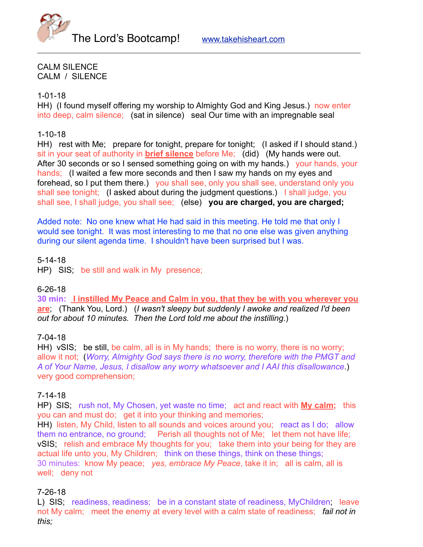



CALM SILENCE CALM / SILENCE

#### 1-01-18

HH) (I found myself offering my worship to Almighty God and King Jesus.) now enter into deep, calm silence; (sat in silence) seal Our time with an impregnable seal

# 1-10-18

HH) rest with Me; prepare for tonight, prepare for tonight; (I asked if I should stand.) sit in your seat of authority in **brief silence** before Me; (did) (My hands were out. After 30 seconds or so I sensed something going on with my hands.) your hands, your hands; (I waited a few more seconds and then I saw my hands on my eyes and forehead, so I put them there.) you shall see, only you shall see, understand only you shall see tonight; (I asked about during the judgment questions.) I shall judge, you shall see, I shall judge, you shall see; (else) **you are charged, you are charged;**

Added note: No one knew what He had said in this meeting. He told me that only I would see tonight. It was most interesting to me that no one else was given anything during our silent agenda time. I shouldn't have been surprised but I was.

## 5-14-18

HP) SIS; be still and walk in My presence;

## 6-26-18

**30 min: I instilled My Peace and Calm in you, that they be with you wherever you are**; (Thank You, Lord.) (*I wasn't sleepy but suddenly I awoke and realized I'd been out for about 10 minutes. Then the Lord told me about the instilling*.)

## 7-04-18

HH) vSIS; be still, be calm, all is in My hands; there is no worry, there is no worry; allow it not; (*Worry, Almighty God says there is no worry, therefore with the PMGT and A of Your Name, Jesus, I disallow any worry whatsoever and I AAI this disallowance*.) very good comprehension;

## 7-14-18

HP) SIS; rush not, My Chosen, yet waste no time; act and react with **My calm;** this you can and must do; get it into your thinking and memories;

HH) listen, My Child, listen to all sounds and voices around you; react as I do; allow them no entrance, no ground; Perish all thoughts not of Me; let them not have life; vSIS; relish and embrace My thoughts for you; take them into your being for they are actual life unto you, My Children; think on these things, think on these things; 30 minutes: know My peace; *yes, embrace My Peace*, take it in; all is calm, all is well; deny not

## 7-26-18

L) SIS; readiness, readiness; be in a constant state of readiness, MyChildren; leave not My calm; meet the enemy at every level with a calm state of readiness; *fail not in this;*